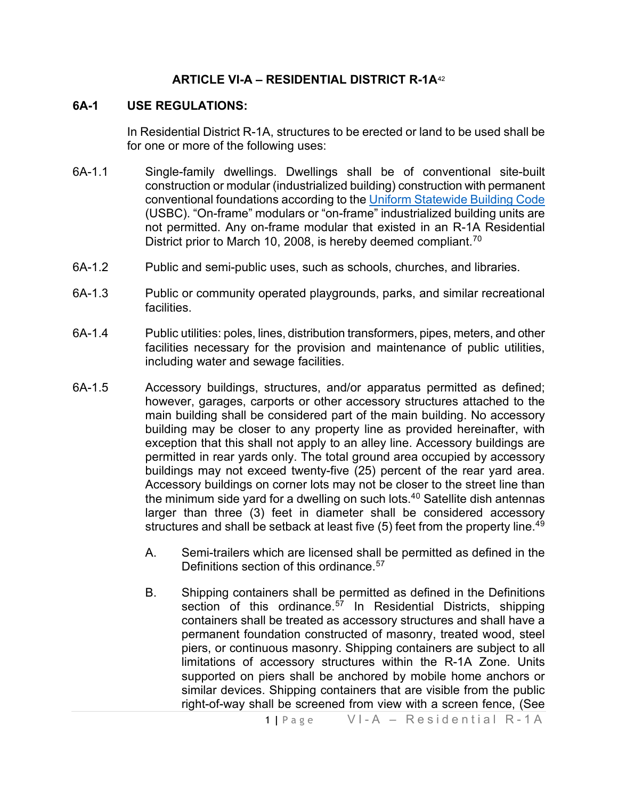#### **ARTICLE VI-A – RESIDENTIAL DISTRICT R-1A**[42](#page-4-0)

#### **6A-1 USE REGULATIONS:**

In Residential District R-1A, structures to be erected or land to be used shall be for one or more of the following uses:

- 6A-1.1 Single-family dwellings. Dwellings shall be of conventional site-built construction or modular (industrialized building) construction with permanent conventional foundations according to the [Uniform Statewide](https://law.lis.virginia.gov/vacode/title36/chapter6/) Building Code (USBC). "On-frame" modulars or "on-frame" industrialized building units are not permitted. Any on-frame modular that existed in an R-1A Residential District prior to March 10, 2008, is hereby deemed compliant.<sup>[70](#page-4-1)</sup>
- 6A-1.2 Public and semi-public uses, such as schools, churches, and libraries.
- 6A-1.3 Public or community operated playgrounds, parks, and similar recreational facilities.
- 6A-1.4 Public utilities: poles, lines, distribution transformers, pipes, meters, and other facilities necessary for the provision and maintenance of public utilities, including water and sewage facilities.
- 6A-1.5 Accessory buildings, structures, and/or apparatus permitted as defined; however, garages, carports or other accessory structures attached to the main building shall be considered part of the main building. No accessory building may be closer to any property line as provided hereinafter, with exception that this shall not apply to an alley line. Accessory buildings are permitted in rear yards only. The total ground area occupied by accessory buildings may not exceed twenty-five (25) percent of the rear yard area. Accessory buildings on corner lots may not be closer to the street line than the minimum side yard for a dwelling on such lots.4[0](#page-4-2) Satellite dish antennas larger than three (3) feet in diameter shall be considered accessory structures and shall be setback at least five (5) feet from the property line.<sup>[49](#page-4-3)</sup>
	- A. Semi-trailers which are licensed shall be permitted as defined in the Definitions section of this ordinance.<sup>[57](#page-4-4)</sup>
	- B. Shipping containers shall be permitted as defined in the Definitions section of this ordinance.<sup>[57](#page-4-5)</sup> In Residential Districts, shipping containers shall be treated as accessory structures and shall have a permanent foundation constructed of masonry, treated wood, steel piers, or continuous masonry. Shipping containers are subject to all limitations of accessory structures within the R-1A Zone. Units supported on piers shall be anchored by mobile home anchors or similar devices. Shipping containers that are visible from the public right-of-way shall be screened from view with a screen fence, (See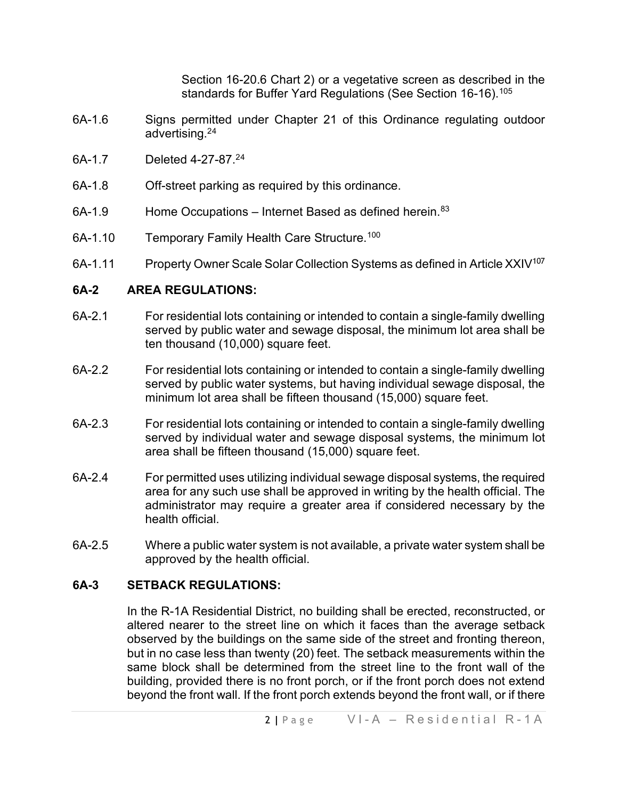Section 16-20.6 Chart 2) or a vegetative screen as described in the standards for Buffer Yard Regulations (See Section 16-16).<sup>[105](#page-4-6)</sup>

- 6A-1.6 Signs permitted under Chapter 21 of this Ordinance regulating outdoor advertising.2[4](#page-4-7)
- 6A-1.7 Deleted 4-27-87.2[4](#page-4-8)
- 6A-1.8 Off-street parking as required by this ordinance.
- $6A-1.9$  Home Occupations Internet Based as defined herein.  $83$
- 6A-1.10 Temporary Family Health Care Structure.<sup>[100](#page-4-10)</sup>
- 6A-1.11 Property Owner Scale Solar Collection Systems as defined in Article XXIV<sup>[107](#page-4-11)</sup>

#### **6A-2 AREA REGULATIONS:**

- 6A-2.1 For residential lots containing or intended to contain a single-family dwelling served by public water and sewage disposal, the minimum lot area shall be ten thousand (10,000) square feet.
- 6A-2.2 For residential lots containing or intended to contain a single-family dwelling served by public water systems, but having individual sewage disposal, the minimum lot area shall be fifteen thousand (15,000) square feet.
- 6A-2.3 For residential lots containing or intended to contain a single-family dwelling served by individual water and sewage disposal systems, the minimum lot area shall be fifteen thousand (15,000) square feet.
- 6A-2.4 For permitted uses utilizing individual sewage disposal systems, the required area for any such use shall be approved in writing by the health official. The administrator may require a greater area if considered necessary by the health official.
- 6A-2.5 Where a public water system is not available, a private water system shall be approved by the health official.

#### **6A-3 SETBACK REGULATIONS:**

In the R-1A Residential District, no building shall be erected, reconstructed, or altered nearer to the street line on which it faces than the average setback observed by the buildings on the same side of the street and fronting thereon, but in no case less than twenty (20) feet. The setback measurements within the same block shall be determined from the street line to the front wall of the building, provided there is no front porch, or if the front porch does not extend beyond the front wall. If the front porch extends beyond the front wall, or if there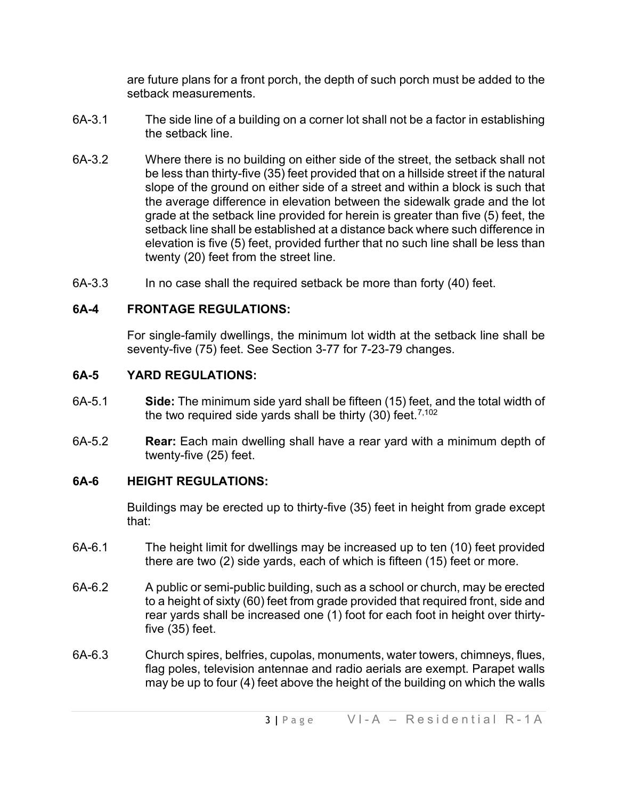are future plans for a front porch, the depth of such porch must be added to the setback measurements.

- 6A-3.1 The side line of a building on a corner lot shall not be a factor in establishing the setback line.
- 6A-3.2 Where there is no building on either side of the street, the setback shall not be less than thirty-five (35) feet provided that on a hillside street if the natural slope of the ground on either side of a street and within a block is such that the average difference in elevation between the sidewalk grade and the lot grade at the setback line provided for herein is greater than five (5) feet, the setback line shall be established at a distance back where such difference in elevation is five (5) feet, provided further that no such line shall be less than twenty (20) feet from the street line.
- 6A-3.3 In no case shall the required setback be more than forty (40) feet.

## **6A-4 FRONTAGE REGULATIONS:**

For single-family dwellings, the minimum lot width at the setback line shall be seventy-five (75) feet. See Section 3-77 for 7-23-79 changes.

## **6A-5 YARD REGULATIONS:**

- 6A-5.1 **Side:** The minimum side yard shall be fifteen (15) feet, and the total width of the two required side yards shall be thirty (30) feet. [7,102](#page-4-12)
- 6A-5.2 **Rear:** Each main dwelling shall have a rear yard with a minimum depth of twenty-five (25) feet.

## **6A-6 HEIGHT REGULATIONS:**

Buildings may be erected up to thirty-five (35) feet in height from grade except that:

- 6A-6.1 The height limit for dwellings may be increased up to ten (10) feet provided there are two (2) side yards, each of which is fifteen (15) feet or more.
- 6A-6.2 A public or semi-public building, such as a school or church, may be erected to a height of sixty (60) feet from grade provided that required front, side and rear yards shall be increased one (1) foot for each foot in height over thirtyfive (35) feet.
- 6A-6.3 Church spires, belfries, cupolas, monuments, water towers, chimneys, flues, flag poles, television antennae and radio aerials are exempt. Parapet walls may be up to four (4) feet above the height of the building on which the walls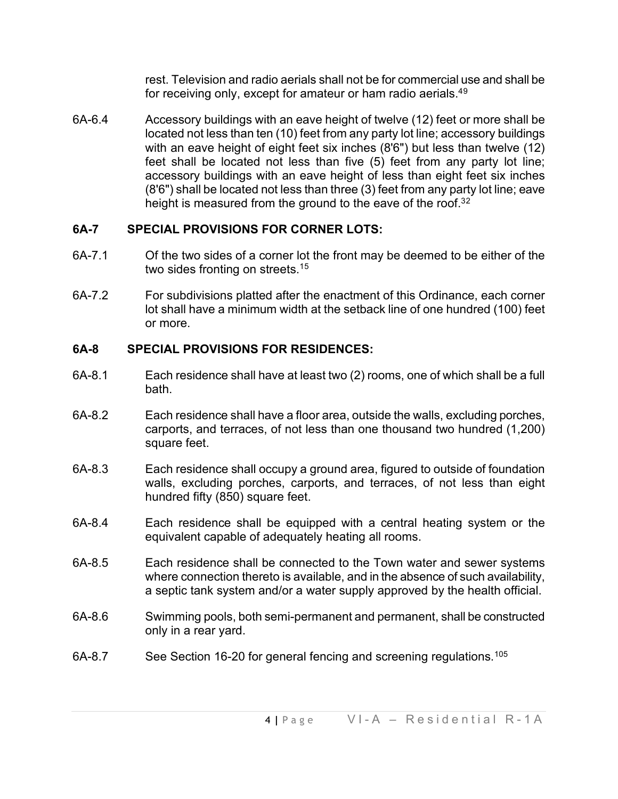rest. Television and radio aerials shall not be for commercial use and shall be for receiving only, except for amateur or ham radio aerials.<sup>4[9](#page-4-13)</sup>

6A-6.4 Accessory buildings with an eave height of twelve (12) feet or more shall be located not less than ten (10) feet from any party lot line; accessory buildings with an eave height of eight feet six inches (8'6") but less than twelve (12) feet shall be located not less than five (5) feet from any party lot line; accessory buildings with an eave height of less than eight feet six inches (8'6") shall be located not less than three (3) feet from any party lot line; eave height is measured from the ground to the eave of the roof.<sup>3[2](#page-4-14)</sup>

## **6A-7 SPECIAL PROVISIONS FOR CORNER LOTS:**

- 6A-7.1 Of the two sides of a corner lot the front may be deemed to be either of the two sides fronting on streets.<sup>1[5](#page-4-15)</sup>
- 6A-7.2 For subdivisions platted after the enactment of this Ordinance, each corner lot shall have a minimum width at the setback line of one hundred (100) feet or more.

# **6A-8 SPECIAL PROVISIONS FOR RESIDENCES:**

- 6A-8.1 Each residence shall have at least two (2) rooms, one of which shall be a full bath.
- 6A-8.2 Each residence shall have a floor area, outside the walls, excluding porches, carports, and terraces, of not less than one thousand two hundred (1,200) square feet.
- 6A-8.3 Each residence shall occupy a ground area, figured to outside of foundation walls, excluding porches, carports, and terraces, of not less than eight hundred fifty (850) square feet.
- 6A-8.4 Each residence shall be equipped with a central heating system or the equivalent capable of adequately heating all rooms.
- 6A-8.5 Each residence shall be connected to the Town water and sewer systems where connection thereto is available, and in the absence of such availability, a septic tank system and/or a water supply approved by the health official.
- 6A-8.6 Swimming pools, both semi-permanent and permanent, shall be constructed only in a rear yard.
- 6A-8.7 See Section 16-20 for general fencing and screening regulations.<sup>[105](#page-4-16)</sup>